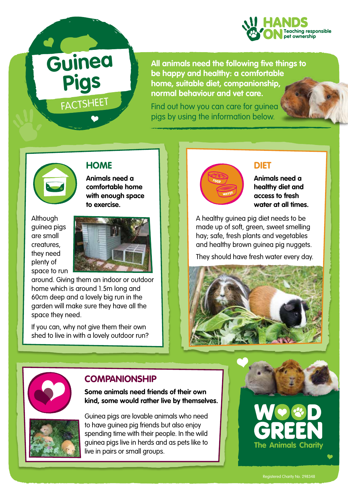

**All animals need the following five things to be happy and healthy: a comfortable home, suitable diet, companionship, normal behaviour and vet care.** 

Find out how you can care for guinea pigs by using the information below.



# **HOME**

**FACTSHEET** 

**Guinea** 

**Pigs**

**Animals need a comfortable home with enough space to exercise.** 

**Although** guinea pigs are small creatures, they need plenty of space to run



around. Giving them an indoor or outdoor home which is around 1.5m long and 60cm deep and a lovely big run in the garden will make sure they have all the space they need.

If you can, why not give them their own shed to live in with a lovely outdoor run?



#### **DIET**

**Animals need a healthy diet and access to fresh water at all times.**

A healthy guinea pig diet needs to be made up of soft, green, sweet smelling hay; safe, fresh plants and vegetables and healthy brown guinea pig nuggets.

They should have fresh water every day.





## **COMPANIONSHIP**

**Some animals need friends of their own kind, some would rather live by themselves.**



Guinea pigs are lovable animals who need to have guinea pig friends but also enjoy spending time with their people. In the wild guinea pigs live in herds and as pets like to live in pairs or small groups.